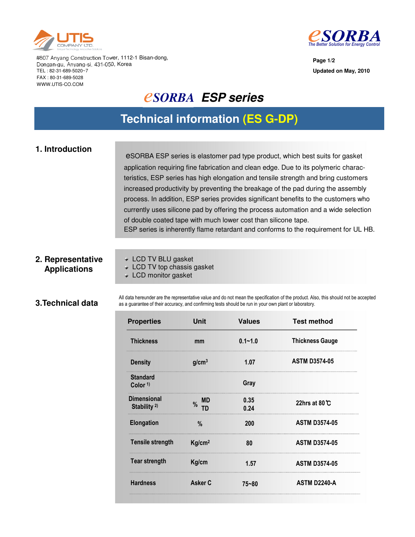



**Page 1/2 Updated on May, 2010**

#807 Anyang Construction Tower, 1112-1 Bisan-dong, Dongan-gu, Anyang-si, 431-050, Korea TEL : 82-31-689-5020~7 FAX : 80-31-689-5028 WWW.UTIS-CO.COM

### *<u>ESORBA ESP series</u>*

### **Technical information (ES G-DP)**

### **1. Introduction**

eSORBA ESP series is elastomer pad type product, which best suits for gasket application requiring fine fabrication and clean edge. Due to its polymeric characteristics, ESP series has high elongation and tensile strength and bring customers increased productivity by preventing the breakage of the pad during the assembly process. In addition, ESP series provides significant benefits to the customers who currently uses silicone pad by offering the process automation and a wide selection of double coated tape with much lower cost than silicone tape. ESP series is inherently flame retardant and conforms to the requirement for UL HB.

#### **2. Representative Applications**

LCD TV BLU gasket

**LCD TV top chassis gasket** 

**LCD** monitor gasket

#### **3.Technical data**

All data hereunder are the representative value and do not mean the specification of the product. Also, this should not be accepted as a guarantee of their accuracy, and confirming tests should be run in your own plant or laboratory.

| <b>Properties</b>                     | Unit                    | <b>Values</b> | <b>Test method</b>      |
|---------------------------------------|-------------------------|---------------|-------------------------|
| <b>Thickness</b>                      | mm                      | $0.1 - 1.0$   | <b>Thickness Gauge</b>  |
| <b>Density</b>                        | g/cm <sup>3</sup>       | 1.07          | <b>ASTM D3574-05</b>    |
| <b>Standard</b><br>Color $1$          |                         | Gray          |                         |
| <b>Dimensional</b><br>Stability $2$ ) | <b>MD</b><br>$\%$<br>חד | 0.35<br>0.24  | 22hrs at 80 $\degree$ C |
| <b>Elongation</b>                     | $\%$                    | 200           | <b>ASTM D3574-05</b>    |
| <b>Tensile strength</b>               | Kg/cm <sup>2</sup>      | 80            | <b>ASTM D3574-05</b>    |
| <b>Tear strength</b>                  | Kg/cm                   | 1.57          | <b>ASTM D3574-05</b>    |
| <b>Hardness</b>                       | Asker C                 | $75 - 80$     | <b>ASTM D2240-A</b>     |